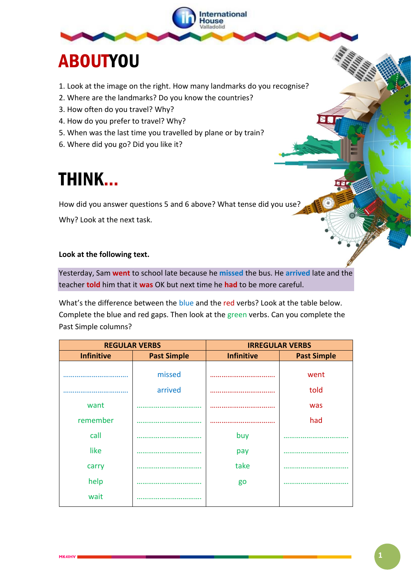

# ABOUTYOU

- 1. Look at the image on the right. How many landmarks do you recognise?
- 2. Where are the landmarks? Do you know the countries?
- 3. How often do you travel? Why?
- 4. How do you prefer to travel? Why?
- 5. When was the last time you travelled by plane or by train?
- 6. Where did you go? Did you like it?

## THINK…

How did you answer questions 5 and 6 above? What tense did you use?

Why? Look at the next task.

### **Look at the following text.**

Yesterday, Sam **went** to school late because he **missed** the bus. He **arrived** late and the teacher **told** him that it **was** OK but next time he **had** to be more careful.

What's the difference between the blue and the red verbs? Look at the table below. Complete the blue and red gaps. Then look at the green verbs. Can you complete the Past Simple columns?

| <b>REGULAR VERBS</b> |                    | <b>IRREGULAR VERBS</b> |                    |
|----------------------|--------------------|------------------------|--------------------|
| <b>Infinitive</b>    | <b>Past Simple</b> | <b>Infinitive</b>      | <b>Past Simple</b> |
|                      | missed             |                        | went               |
|                      | arrived            |                        | told               |
| want                 |                    |                        | was                |
| remember             |                    |                        | had                |
| call                 |                    | buy                    |                    |
| like                 |                    | pay                    |                    |
| carry                |                    | take                   |                    |
| help                 |                    | go                     |                    |
| wait                 |                    |                        |                    |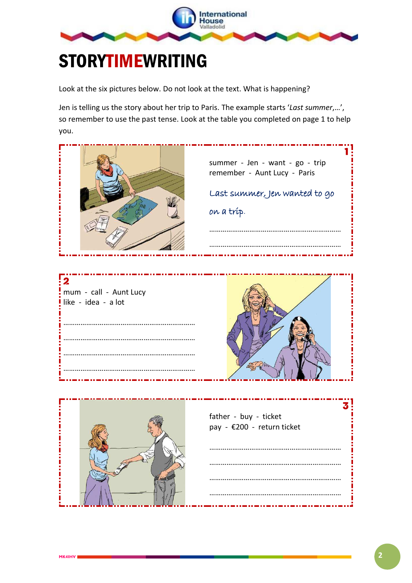

## STORYTIMEWRITING

Look at the six pictures below. Do not look at the text. What is happening?

Jen is telling us the story about her trip to Paris. The example starts '*Last summer*,…', so remember to use the past tense. Look at the table you completed on page 1 to help you.

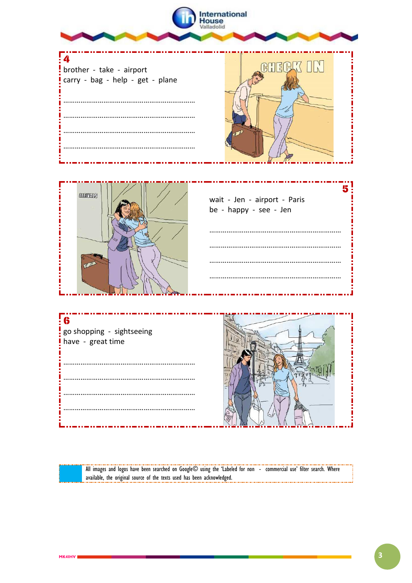

All images and logos have been searched on Google© using the 'Labeled for non - commercial use' filter search. Where available, the original source of the texts used has been acknowledged.